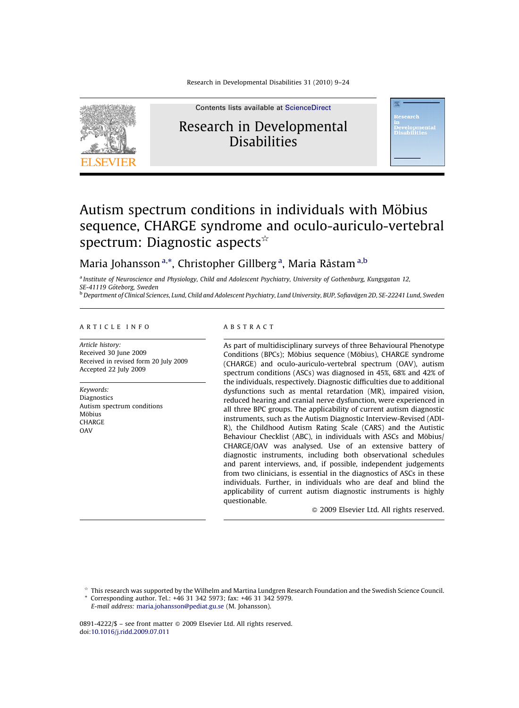

Contents lists available at [ScienceDirect](http://www.sciencedirect.com/science/journal/08914222) Research in Developmental **Disabilities** 



# Autism spectrum conditions in individuals with Möbius sequence, CHARGE syndrome and oculo-auriculo-vertebral spectrum: Diagnostic aspects $\dot{\alpha}$

# Maria Johansson<sup>a,\*</sup>, Christopher Gillberg<sup>a</sup>, Maria Råstam<sup>a,b</sup>

<sup>a</sup> Institute of Neuroscience and Physiology, Child and Adolescent Psychiatry, University of Gothenburg, Kungsgatan 12, SE-41119 Göteborg, Sweden

<sup>b</sup> Department of Clinical Sciences, Lund, Child and Adolescent Psychiatry, Lund University, BUP, Sofiavägen 2D, SE-22241 Lund, Sweden

#### ARTICLE INFO

Article history: Received 30 June 2009 Received in revised form 20 July 2009 Accepted 22 July 2009

Keywords: Diagnostics Autism spectrum conditions Möbius CHARGE **OAV** 

#### ABSTRACT

As part of multidisciplinary surveys of three Behavioural Phenotype Conditions (BPCs); Möbius sequence (Möbius), CHARGE syndrome (CHARGE) and oculo-auriculo-vertebral spectrum (OAV), autism spectrum conditions (ASCs) was diagnosed in 45%, 68% and 42% of the individuals, respectively. Diagnostic difficulties due to additional dysfunctions such as mental retardation (MR), impaired vision, reduced hearing and cranial nerve dysfunction, were experienced in all three BPC groups. The applicability of current autism diagnostic instruments, such as the Autism Diagnostic Interview-Revised (ADI-R), the Childhood Autism Rating Scale (CARS) and the Autistic Behaviour Checklist (ABC), in individuals with ASCs and Möbius/ CHARGE/OAV was analysed. Use of an extensive battery of diagnostic instruments, including both observational schedules and parent interviews, and, if possible, independent judgements from two clinicians, is essential in the diagnostics of ASCs in these individuals. Further, in individuals who are deaf and blind the applicability of current autism diagnostic instruments is highly questionable.

 $\odot$  2009 Elsevier Ltd. All rights reserved.

 $*$  This research was supported by the Wilhelm and Martina Lundgren Research Foundation and the Swedish Science Council.

Corresponding author. Tel.: +46 31 342 5973; fax: +46 31 342 5979. E-mail address: [maria.johansson@pediat.gu.se](mailto:maria.johansson@pediat.gu.se) (M. Johansson).

0891-4222/\$ – see front matter © 2009 Elsevier Ltd. All rights reserved. doi:[10.1016/j.ridd.2009.07.011](http://dx.doi.org/10.1016/j.ridd.2009.07.011)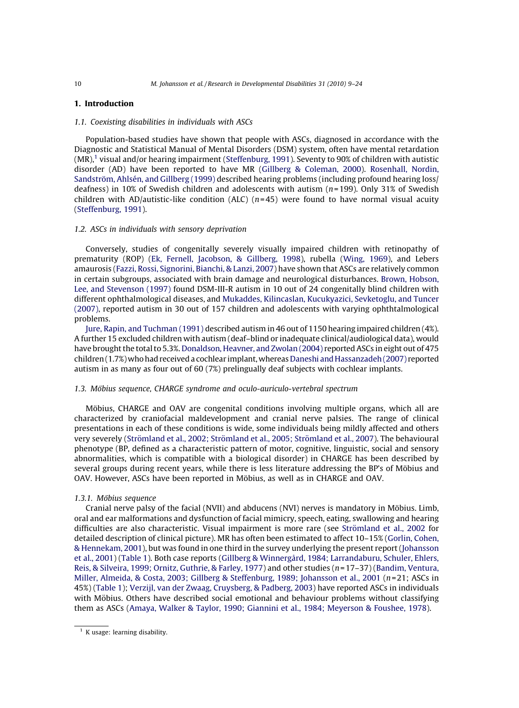# 1. Introduction

### 1.1. Coexisting disabilities in individuals with ASCs

Population-based studies have shown that people with ASCs, diagnosed in accordance with the Diagnostic and Statistical Manual of Mental Disorders (DSM) system, often have mental retardation  $(MR)<sup>1</sup>$  visual and/or hearing impairment [\(Steffenburg, 1991\)](#page-15-0). Seventy to 90% of children with autistic disorder (AD) have been reported to have MR ([Gillberg & Coleman, 2000\)](#page-14-0). [Rosenhall, Nordin,](#page-15-0) Sandström, Ahlsén, and Gillberg (1999) described hearing problems (including profound hearing loss/ deafness) in 10% of Swedish children and adolescents with autism  $(n=199)$ . Only 31% of Swedish children with AD/autistic-like condition (ALC) ( $n=45$ ) were found to have normal visual acuity [\(Steffenburg, 1991](#page-15-0)).

#### 1.2. ASCs in individuals with sensory deprivation

Conversely, studies of congenitally severely visually impaired children with retinopathy of prematurity (ROP) ([Ek, Fernell, Jacobson, & Gillberg, 1998\)](#page-14-0), rubella [\(Wing, 1969\)](#page-15-0), and Lebers amaurosis ([Fazzi, Rossi, Signorini, Bianchi, & Lanzi, 2007](#page-14-0)) have shown that ASCs are relatively common in certain subgroups, associated with brain damage and neurological disturbances. [Brown, Hobson,](#page-14-0) [Lee, and Stevenson \(1997\)](#page-14-0) found DSM-III-R autism in 10 out of 24 congenitally blind children with different ophthalmological diseases, and [Mukaddes, Kilincaslan, Kucukyazici, Sevketoglu, and Tuncer](#page-15-0) [\(2007\)](#page-15-0), reported autism in 30 out of 157 children and adolescents with varying ophthtalmological problems.

[Jure, Rapin, and Tuchman \(1991\)](#page-14-0) described autism in 46 out of 1150 hearing impaired children (4%). A further 15 excluded children with autism (deaf–blind or inadequate clinical/audiological data), would have brought the total to 5.3%. [Donaldson, Heavner, and Zwolan \(2004\)](#page-14-0) reported ASCs in eight out of 475 children (1.7%)who had received a cochlear implant, whereas [Daneshi and Hassanzadeh \(2007\)](#page-14-0) reported autism in as many as four out of 60 (7%) prelingually deaf subjects with cochlear implants.

#### 1.3. Möbius sequence, CHARGE syndrome and oculo-auriculo-vertebral spectrum

Möbius, CHARGE and OAV are congenital conditions involving multiple organs, which all are characterized by craniofacial maldevelopment and cranial nerve palsies. The range of clinical presentations in each of these conditions is wide, some individuals being mildly affected and others very severely (Strömland et al., 2002; Strömland et al., 2005; Strömland et al., 2007). The behavioural phenotype (BP, defined as a characteristic pattern of motor, cognitive, linguistic, social and sensory abnormalities, which is compatible with a biological disorder) in CHARGE has been described by several groups during recent years, while there is less literature addressing the BP's of Möbius and OAV. However, ASCs have been reported in Möbius, as well as in CHARGE and OAV.

#### 1.3.1. Möbius sequence

Cranial nerve palsy of the facial (NVII) and abducens (NVI) nerves is mandatory in Möbius. Limb, oral and ear malformations and dysfunction of facial mimicry, speech, eating, swallowing and hearing difficulties are also characteristic. Visual impairment is more rare (see Strömland et al., 2002 for detailed description of clinical picture). MR has often been estimated to affect 10–15% ([Gorlin, Cohen,](#page-14-0) [& Hennekam, 2001](#page-14-0)), but was found in one third in the survey underlying the present report ([Johansson](#page-14-0) [et al., 2001](#page-14-0)) [\(Table 1\)](#page-2-0). Both case reports (Gillberg & Winnergå[rd, 1984; Larrandaburu, Schuler, Ehlers,](#page-14-0) [Reis, & Silveira, 1999; Ornitz, Guthrie, & Farley, 1977\)](#page-14-0) and other studies (n= 17–37) ([Bandim, Ventura,](#page-13-0) [Miller, Almeida, & Costa, 2003; Gillberg & Steffenburg, 1989; Johansson et al., 2001](#page-13-0) ( $n=21$ ; ASCs in 45%) ([Table 1](#page-2-0)); [Verzijl, van der Zwaag, Cruysberg, & Padberg, 2003](#page-15-0)) have reported ASCs in individuals with Möbius. Others have described social emotional and behaviour problems without classifying them as ASCs ([Amaya, Walker & Taylor, 1990; Giannini et al., 1984; Meyerson & Foushee, 1978\)](#page-13-0).

 $1$  K usage: learning disability.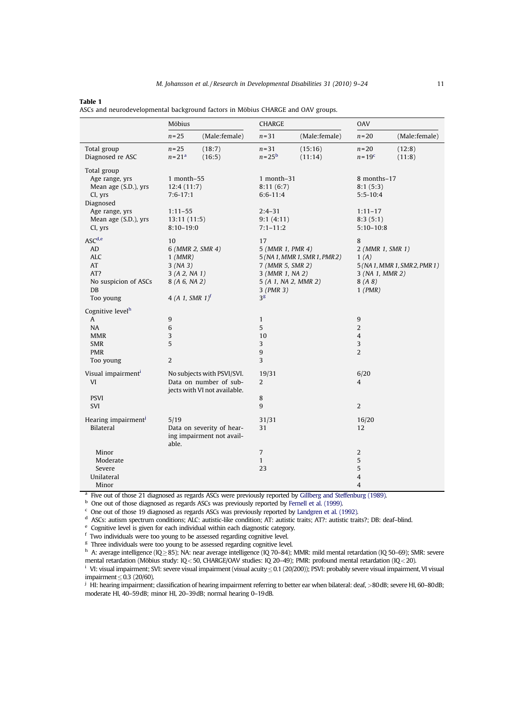#### <span id="page-2-0"></span>Table 1

| 1MMJN 1                                                                         |  |
|---------------------------------------------------------------------------------|--|
| ASCs and neurodevelopmental background factors in Möbius CHARGE and OAV groups. |  |

|                                                                                                                                    | Möbius                                                                                       |                                                                                      | CHARGE                                                                                                                    |                               | <b>OAV</b>                                                                      |                               |
|------------------------------------------------------------------------------------------------------------------------------------|----------------------------------------------------------------------------------------------|--------------------------------------------------------------------------------------|---------------------------------------------------------------------------------------------------------------------------|-------------------------------|---------------------------------------------------------------------------------|-------------------------------|
|                                                                                                                                    | $n = 25$                                                                                     | (Male:female)                                                                        | $n = 31$                                                                                                                  | (Male:female)                 | $n = 20$                                                                        | (Male:female)                 |
| Total group<br>Diagnosed re ASC                                                                                                    | $n = 25$<br>$n = 21a$                                                                        | (18:7)<br>(16:5)                                                                     | $n = 31$<br>$n = 25b$                                                                                                     | (15:16)<br>(11:14)            | $n=20$<br>$n = 19c$                                                             | (12:8)<br>(11:8)              |
| Total group<br>Age range, yrs<br>Mean age (S.D.), yrs<br>CI, yrs<br>Diagnosed<br>Age range, yrs<br>Mean age (S.D.), yrs<br>CI, yrs | 1 month $-55$<br>12:4(11:7)<br>$7:6-17:1$<br>$1:11 - 55$<br>13:11(11:5)<br>$8:10 - 19:0$     |                                                                                      | 1 month-31<br>8:11(6:7)<br>$6:6-11:4$<br>$2:4-31$<br>9:1(4:11)<br>$7:1 - 11:2$                                            |                               | 8 months-17<br>8:1(5:3)<br>$5:5-10:4$<br>$1:11 - 17$<br>8:3(5:1)<br>$5:10-10:8$ |                               |
| ASC <sup>d,e</sup><br>AD<br><b>ALC</b><br>AT<br>AT?<br>No suspicion of ASCs<br>DB<br>Too young                                     | 10<br>$1$ (MMR)<br>3 (NA 3)<br>3(A2, NA1)<br>8 (A 6, NA 2)<br>4 (A 1, SMR $1$ ) <sup>f</sup> | 6 (MMR 2, SMR 4)                                                                     | 17<br>5 (MMR 1, PMR 4)<br>7 (MMR 5, SMR 2)<br>3 (MMR 1, NA 2)<br>5 (A 1, NA 2, MMR 2)<br>$3$ (PMR $3$ )<br>3 <sup>g</sup> | 5 (NA 1, MMR 1, SMR 1, PMR 2) | 8<br>2 (MMR 1, SMR 1)<br>1(A)<br>3 (NA 1, MMR 2)<br>8(A8)<br>$1$ (PMR)          | 5 (NA 1, MMR 1, SMR 2, PMR 1) |
| Cognitive level <sup>h</sup><br>A<br><b>NA</b><br><b>MMR</b><br><b>SMR</b><br><b>PMR</b><br>Too young                              | $\boldsymbol{9}$<br>6<br>3<br>5<br>$\overline{2}$                                            |                                                                                      | $\mathbf{1}$<br>5<br>10<br>3<br>9<br>$\overline{3}$                                                                       |                               | $\boldsymbol{9}$<br>2<br>$\overline{4}$<br>3<br>2                               |                               |
| Visual impairment <sup>i</sup><br>VI<br><b>PSVI</b><br>SVI                                                                         |                                                                                              | No subjects with PSVI/SVI.<br>Data on number of sub-<br>jects with VI not available. | 19/31<br>2<br>8<br>9                                                                                                      |                               | 6/20<br>$\overline{4}$<br>2                                                     |                               |
| Hearing impairment <sup>j</sup><br>Bilateral                                                                                       | 5/19<br>able.                                                                                | Data on severity of hear-<br>ing impairment not avail-                               | 31/31<br>31                                                                                                               |                               | 16/20<br>12                                                                     |                               |
| Minor<br>Moderate<br>Severe<br>Unilateral<br>Minor                                                                                 |                                                                                              |                                                                                      | 7<br>$\mathbf{1}$<br>23                                                                                                   |                               | 2<br>5<br>5<br>$\overline{4}$<br>$\overline{4}$                                 |                               |

<sup>a</sup> Five out of those 21 diagnosed as regards ASCs were previously reported by [Gillberg and Steffenburg \(1989\).](#page-14-0)

b One out of those diagnosed as regards ASCs was previously reported by [Fernell et al. \(1999\).](#page-14-0)

<sup>c</sup> One out of those 19 diagnosed as regards ASCs was previously reported by [Landgren et al. \(1992\).](#page-14-0)

<sup>d</sup> ASCs: autism spectrum conditions; ALC: autistic-like condition; AT: autistic traits; AT?: autistic traits?; DB: deaf–blind.

<sup>e</sup> Cognitive level is given for each individual within each diagnostic category.

<sup>f</sup> Two individuals were too young to be assessed regarding cognitive level.

<sup>g</sup> Three individuals were too young to be assessed regarding cognitive level.

 $h$  A: average intelligence (IQ  $\geq$  85); NA: near average intelligence (IQ 70–84); MMR: mild mental retardation (IQ 50–69); SMR: severe mental retardation (Möbius study: IQ < 50, CHARGE/OAV studies: IQ 20-49); PMR: profound mental retardation (IQ < 20).

 $\frac{1}{1}$  VI: visual impairment; SVI: severe visual impairment (visual acuity  $\leq$  0.1 (20/200)); PSVI: probably severe visual impairment, VI visual impairment $\leq$ 0.3 (20/60).

<sup>j</sup> HI: hearing impairment; classification of hearing impairment referring to better ear when bilateral: deaf, >80dB; severe HI, 60–80dB; moderate HI, 40–59dB; minor HI, 20–39dB; normal hearing 0–19dB.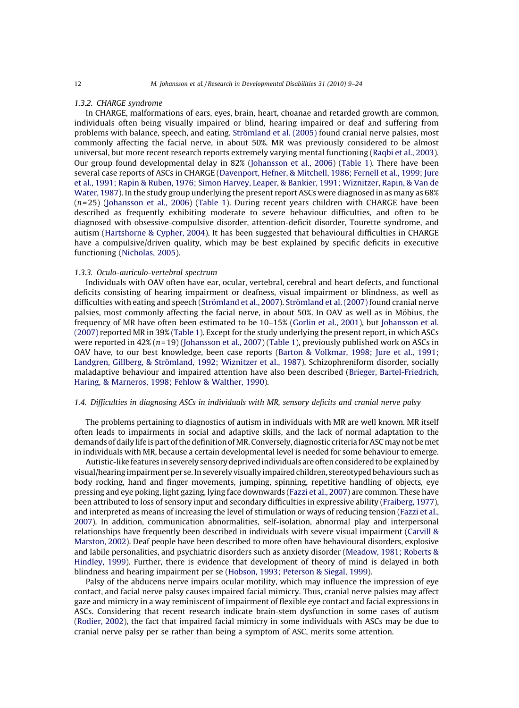#### 1.3.2. CHARGE syndrome

In CHARGE, malformations of ears, eyes, brain, heart, choanae and retarded growth are common, individuals often being visually impaired or blind, hearing impaired or deaf and suffering from problems with balance, speech, and eating. Strömland et al. (2005) found cranial nerve palsies, most commonly affecting the facial nerve, in about 50%. MR was previously considered to be almost universal, but more recent research reports extremely varying mental functioning [\(Raqbi et al., 2003\)](#page-15-0). Our group found developmental delay in 82% [\(Johansson et al., 2006](#page-14-0)) ([Table 1](#page-2-0)). There have been several case reports of ASCs in CHARGE [\(Davenport, Hefner, & Mitchell, 1986; Fernell et al., 1999; Jure](#page-14-0) [et al., 1991; Rapin & Ruben, 1976; Simon Harvey, Leaper, & Bankier, 1991; Wiznitzer, Rapin, & Van de](#page-14-0) [Water, 1987](#page-14-0)). In the study group underlying the present report ASCs were diagnosed in as many as 68% (n= 25) ([Johansson et al., 2006\)](#page-14-0) [\(Table 1](#page-2-0)). During recent years children with CHARGE have been described as frequently exhibiting moderate to severe behaviour difficulties, and often to be diagnosed with obsessive-compulsive disorder, attention-deficit disorder, Tourette syndrome, and autism [\(Hartshorne & Cypher, 2004](#page-14-0)). It has been suggested that behavioural difficulties in CHARGE have a compulsive/driven quality, which may be best explained by specific deficits in executive functioning ([Nicholas, 2005](#page-15-0)).

# 1.3.3. Oculo-auriculo-vertebral spectrum

Individuals with OAV often have ear, ocular, vertebral, cerebral and heart defects, and functional deficits consisting of hearing impairment or deafness, visual impairment or blindness, as well as difficulties with eating and speech (Strömland et al., 2007). Strömland et al. (2007) found cranial nerve palsies, most commonly affecting the facial nerve, in about 50%. In OAV as well as in Möbius, the frequency of MR have often been estimated to be 10–15% [\(Gorlin et al., 2001\)](#page-14-0), but [Johansson et al.](#page-14-0) [\(2007\)](#page-14-0) reported MR in 39% ([Table 1\)](#page-2-0). Except for the study underlying the present report, in which ASCs were reported in  $42\%$  ( $n=19$ ) ([Johansson et al., 2007\)](#page-14-0) ([Table 1](#page-2-0)), previously published work on ASCs in OAV have, to our best knowledge, been case reports [\(Barton & Volkmar, 1998; Jure et al., 1991;](#page-14-0) Landgren, Gillberg, & Strömland, 1992; Wiznitzer et al., 1987). Schizophreniform disorder, socially maladaptive behaviour and impaired attention have also been described [\(Brieger, Bartel-Friedrich,](#page-14-0) [Haring, & Marneros, 1998; Fehlow & Walther, 1990](#page-14-0)).

# 1.4. Difficulties in diagnosing ASCs in individuals with MR, sensory deficits and cranial nerve palsy

The problems pertaining to diagnostics of autism in individuals with MR are well known. MR itself often leads to impairments in social and adaptive skills, and the lack of normal adaptation to the demands of daily life is part of the definition ofMR. Conversely, diagnostic criteria for ASCmay not bemet in individuals with MR, because a certain developmental level is needed for some behaviour to emerge.

Autistic-like features in severely sensory deprived individuals are often considered to be explained by visual/hearing impairment per se. In severely visually impaired children, stereotyped behaviours such as body rocking, hand and finger movements, jumping, spinning, repetitive handling of objects, eye pressing and eye poking, light gazing, lying face downwards ([Fazzi et al., 2007](#page-14-0)) are common. These have been attributed to loss of sensory input and secondary difficulties in expressive ability [\(Fraiberg, 1977\)](#page-14-0), and interpreted as means of increasing the level of stimulation or ways of reducing tension [\(Fazzi et al.,](#page-14-0) [2007\)](#page-14-0). In addition, communication abnormalities, self-isolation, abnormal play and interpersonal relationships have frequently been described in individuals with severe visual impairment ([Carvill &](#page-14-0) [Marston, 2002](#page-14-0)). Deaf people have been described to more often have behavioural disorders, explosive and labile personalities, and psychiatric disorders such as anxiety disorder ([Meadow, 1981; Roberts &](#page-14-0) [Hindley, 1999](#page-14-0)). Further, there is evidence that development of theory of mind is delayed in both blindness and hearing impairment per se ([Hobson, 1993; Peterson & Siegal, 1999\)](#page-14-0).

Palsy of the abducens nerve impairs ocular motility, which may influence the impression of eye contact, and facial nerve palsy causes impaired facial mimicry. Thus, cranial nerve palsies may affect gaze and mimicry in a way reminiscent of impairment of flexible eye contact and facial expressions in ASCs. Considering that recent research indicate brain-stem dysfunction in some cases of autism [\(Rodier, 2002\)](#page-15-0), the fact that impaired facial mimicry in some individuals with ASCs may be due to cranial nerve palsy per se rather than being a symptom of ASC, merits some attention.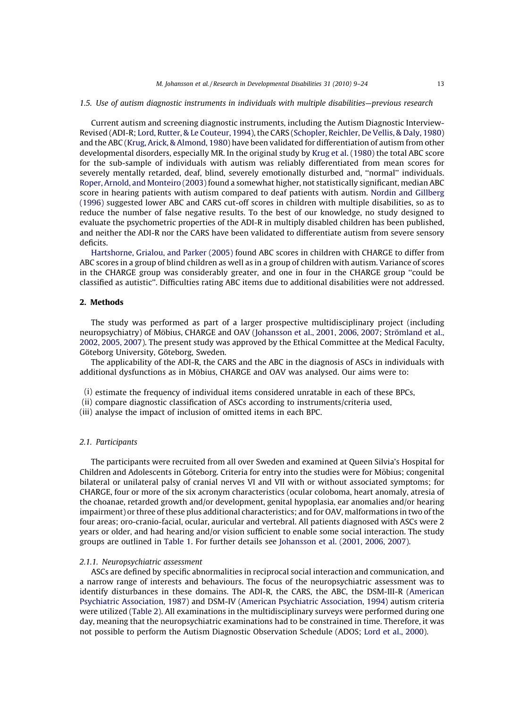#### 1.5. Use of autism diagnostic instruments in individuals with multiple disabilities—previous research

Current autism and screening diagnostic instruments, including the Autism Diagnostic Interview-Revised (ADI-R; [Lord, Rutter, & Le Couteur, 1994](#page-14-0)), the CARS [\(Schopler, Reichler, De Vellis, & Daly, 1980](#page-15-0)) and the ABC ([Krug, Arick, & Almond, 1980\)](#page-14-0) have been validated for differentiation of autism from other developmental disorders, especially MR. In the original study by [Krug et al. \(1980\)](#page-14-0) the total ABC score for the sub-sample of individuals with autism was reliably differentiated from mean scores for severely mentally retarded, deaf, blind, severely emotionally disturbed and, ''normal'' individuals. [Roper, Arnold, and Monteiro \(2003\)](#page-15-0) found a somewhat higher, not statistically significant, median ABC score in hearing patients with autism compared to deaf patients with autism. [Nordin and Gillberg](#page-15-0) [\(1996\)](#page-15-0) suggested lower ABC and CARS cut-off scores in children with multiple disabilities, so as to reduce the number of false negative results. To the best of our knowledge, no study designed to evaluate the psychometric properties of the ADI-R in multiply disabled children has been published, and neither the ADI-R nor the CARS have been validated to differentiate autism from severe sensory deficits.

[Hartshorne, Grialou, and Parker \(2005\)](#page-14-0) found ABC scores in children with CHARGE to differ from ABC scores in a group of blind children as well as in a group of children with autism. Variance of scores in the CHARGE group was considerably greater, and one in four in the CHARGE group ''could be classified as autistic''. Difficulties rating ABC items due to additional disabilities were not addressed.

# 2. Methods

The study was performed as part of a larger prospective multidisciplinary project (including neuropsychiatry) of Möbius, CHARGE and OAV (Johansson et al., 2001, 2006, 2007; Strömland et al., [2002, 2005, 2007](#page-14-0)). The present study was approved by the Ethical Committee at the Medical Faculty, Göteborg University, Göteborg, Sweden.

The applicability of the ADI-R, the CARS and the ABC in the diagnosis of ASCs in individuals with additional dysfunctions as in Möbius, CHARGE and OAV was analysed. Our aims were to:

- (i) estimate the frequency of individual items considered unratable in each of these BPCs,
- (ii) compare diagnostic classification of ASCs according to instruments/criteria used,
- (iii) analyse the impact of inclusion of omitted items in each BPC.

# 2.1. Participants

The participants were recruited from all over Sweden and examined at Queen Silvia's Hospital for Children and Adolescents in Göteborg. Criteria for entry into the studies were for Möbius; congenital bilateral or unilateral palsy of cranial nerves VI and VII with or without associated symptoms; for CHARGE, four or more of the six acronym characteristics (ocular coloboma, heart anomaly, atresia of the choanae, retarded growth and/or development, genital hypoplasia, ear anomalies and/or hearing impairment) or three of these plus additional characteristics; and for OAV, malformations in two of the four areas; oro-cranio-facial, ocular, auricular and vertebral. All patients diagnosed with ASCs were 2 years or older, and had hearing and/or vision sufficient to enable some social interaction. The study groups are outlined in [Table 1](#page-2-0). For further details see [Johansson et al. \(2001, 2006, 2007\)](#page-14-0).

#### 2.1.1. Neuropsychiatric assessment

ASCs are defined by specific abnormalities in reciprocal social interaction and communication, and a narrow range of interests and behaviours. The focus of the neuropsychiatric assessment was to identify disturbances in these domains. The ADI-R, the CARS, the ABC, the DSM-III-R ([American](#page-13-0) [Psychiatric Association, 1987](#page-13-0)) and DSM-IV [\(American Psychiatric Association, 1994](#page-13-0)) autism criteria were utilized ([Table 2](#page-5-0)). All examinations in the multidisciplinary surveys were performed during one day, meaning that the neuropsychiatric examinations had to be constrained in time. Therefore, it was not possible to perform the Autism Diagnostic Observation Schedule (ADOS; [Lord et al., 2000\)](#page-14-0).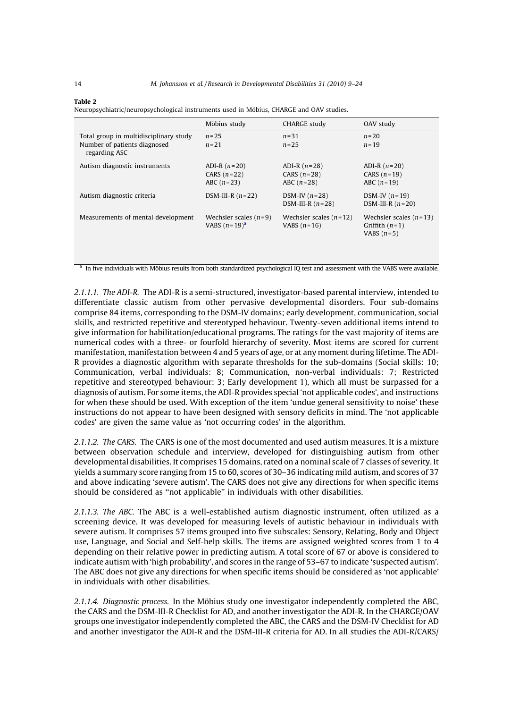<span id="page-5-0"></span>

|--|

Neuropsychiatric/neuropsychological instruments used in Möbius, CHARGE and OAV studies.

|                                                                                         | Möbius study                                    | <b>CHARGE study</b>                             | OAV study                                                    |
|-----------------------------------------------------------------------------------------|-------------------------------------------------|-------------------------------------------------|--------------------------------------------------------------|
| Total group in multidisciplinary study<br>Number of patients diagnosed<br>regarding ASC | $n = 25$<br>$n = 21$                            | $n = 31$<br>$n = 25$                            | $n=20$<br>$n = 19$                                           |
| Autism diagnostic instruments                                                           | ADI-R $(n=20)$<br>CARS $(n=22)$<br>ABC $(n=23)$ | ADI-R $(n=28)$<br>CARS $(n=28)$<br>ABC $(n=28)$ | ADI-R $(n=20)$<br>CARS $(n=19)$<br>ABC $(n=19)$              |
| Autism diagnostic criteria                                                              | DSM-III-R $(n=22)$                              | DSM-IV $(n=28)$<br>DSM-III-R $(n=28)$           | DSM-IV $(n=19)$<br>DSM-III-R $(n=20)$                        |
| Measurements of mental development                                                      | Wechsler scales $(n=9)$<br>VABS $(n=19)^a$      | Wechsler scales $(n=12)$<br>VABS $(n=16)$       | Wechsler scales $(n=13)$<br>Griffith $(n=1)$<br>VABS $(n=5)$ |

<sup>a</sup> In five individuals with Möbius results from both standardized psychological IQ test and assessment with the VABS were available.

2.1.1.1. The ADI-R. The ADI-R is a semi-structured, investigator-based parental interview, intended to differentiate classic autism from other pervasive developmental disorders. Four sub-domains comprise 84 items, corresponding to the DSM-IV domains; early development, communication, social skills, and restricted repetitive and stereotyped behaviour. Twenty-seven additional items intend to give information for habilitation/educational programs. The ratings for the vast majority of items are numerical codes with a three- or fourfold hierarchy of severity. Most items are scored for current manifestation, manifestation between 4 and 5 years of age, or at any moment during lifetime. The ADI-R provides a diagnostic algorithm with separate thresholds for the sub-domains (Social skills: 10; Communication, verbal individuals: 8; Communication, non-verbal individuals: 7; Restricted repetitive and stereotyped behaviour: 3; Early development 1), which all must be surpassed for a diagnosis of autism. For some items, the ADI-R provides special 'not applicable codes', and instructions for when these should be used. With exception of the item 'undue general sensitivity to noise' these instructions do not appear to have been designed with sensory deficits in mind. The 'not applicable codes' are given the same value as 'not occurring codes' in the algorithm.

2.1.1.2. The CARS. The CARS is one of the most documented and used autism measures. It is a mixture between observation schedule and interview, developed for distinguishing autism from other developmental disabilities. It comprises 15 domains, rated on a nominal scale of 7 classes of severity. It yields a summary score ranging from 15 to 60, scores of 30–36 indicating mild autism, and scores of 37 and above indicating 'severe autism'. The CARS does not give any directions for when specific items should be considered as ''not applicable'' in individuals with other disabilities.

2.1.1.3. The ABC. The ABC is a well-established autism diagnostic instrument, often utilized as a screening device. It was developed for measuring levels of autistic behaviour in individuals with severe autism. It comprises 57 items grouped into five subscales: Sensory, Relating, Body and Object use, Language, and Social and Self-help skills. The items are assigned weighted scores from 1 to 4 depending on their relative power in predicting autism. A total score of 67 or above is considered to indicate autism with 'high probability', and scores in the range of 53–67 to indicate 'suspected autism'. The ABC does not give any directions for when specific items should be considered as 'not applicable' in individuals with other disabilities.

2.1.1.4. Diagnostic process. In the Möbius study one investigator independently completed the ABC, the CARS and the DSM-III-R Checklist for AD, and another investigator the ADI-R. In the CHARGE/OAV groups one investigator independently completed the ABC, the CARS and the DSM-IV Checklist for AD and another investigator the ADI-R and the DSM-III-R criteria for AD. In all studies the ADI-R/CARS/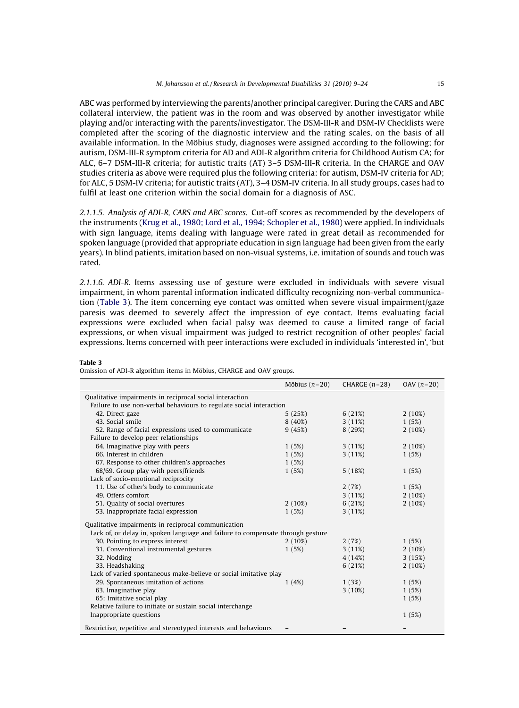<span id="page-6-0"></span>ABC was performed by interviewing the parents/another principal caregiver. During the CARS and ABC collateral interview, the patient was in the room and was observed by another investigator while playing and/or interacting with the parents/investigator. The DSM-III-R and DSM-IV Checklists were completed after the scoring of the diagnostic interview and the rating scales, on the basis of all available information. In the Möbius study, diagnoses were assigned according to the following; for autism, DSM-III-R symptom criteria for AD and ADI-R algorithm criteria for Childhood Autism CA; for ALC, 6–7 DSM-III-R criteria; for autistic traits (AT) 3–5 DSM-III-R criteria. In the CHARGE and OAV studies criteria as above were required plus the following criteria: for autism, DSM-IV criteria for AD; for ALC, 5 DSM-IV criteria; for autistic traits (AT), 3–4 DSM-IV criteria. In all study groups, cases had to fulfil at least one criterion within the social domain for a diagnosis of ASC.

2.1.1.5. Analysis of ADI-R, CARS and ABC scores. Cut-off scores as recommended by the developers of the instruments [\(Krug et al., 1980; Lord et al., 1994; Schopler et al., 1980](#page-14-0)) were applied. In individuals with sign language, items dealing with language were rated in great detail as recommended for spoken language (provided that appropriate education in sign language had been given from the early years). In blind patients, imitation based on non-visual systems, i.e. imitation of sounds and touch was rated.

2.1.1.6. ADI-R. Items assessing use of gesture were excluded in individuals with severe visual impairment, in whom parental information indicated difficulty recognizing non-verbal communication (Table 3). The item concerning eye contact was omitted when severe visual impairment/gaze paresis was deemed to severely affect the impression of eye contact. Items evaluating facial expressions were excluded when facial palsy was deemed to cause a limited range of facial expressions, or when visual impairment was judged to restrict recognition of other peoples' facial expressions. Items concerned with peer interactions were excluded in individuals 'interested in', 'but

#### Table 3

Omission of ADI-R algorithm items in Möbius, CHARGE and OAV groups.

|                                                                                 | Möbius $(n=20)$ | CHARGE $(n=28)$ | OAV $(n=20)$ |  |  |
|---------------------------------------------------------------------------------|-----------------|-----------------|--------------|--|--|
| Qualitative impairments in reciprocal social interaction                        |                 |                 |              |  |  |
| Failure to use non-verbal behaviours to regulate social interaction             |                 |                 |              |  |  |
| 42. Direct gaze                                                                 | 5(25%)          | 6(21%)          | $2(10\%)$    |  |  |
| 43. Social smile                                                                | $8(40\%)$       | 3(11%)          | 1(5%)        |  |  |
| 52. Range of facial expressions used to communicate                             | 9(45%)          | 8(29%)          | $2(10\%)$    |  |  |
| Failure to develop peer relationships                                           |                 |                 |              |  |  |
| 64. Imaginative play with peers                                                 | 1(5%)           | 3(11%)          | 2(10%)       |  |  |
| 66. Interest in children                                                        | 1(5%)           | 3(11%)          | 1(5%)        |  |  |
| 67. Response to other children's approaches                                     | 1(5%)           |                 |              |  |  |
| 68/69. Group play with peers/friends                                            | 1(5%)           | 5(18%)          | 1(5%)        |  |  |
| Lack of socio-emotional reciprocity                                             |                 |                 |              |  |  |
| 11. Use of other's body to communicate                                          |                 | 2(7%)           | 1(5%)        |  |  |
| 49. Offers comfort                                                              |                 | 3(11%)          | 2(10%)       |  |  |
| 51. Quality of social overtures                                                 | $2(10\%)$       | 6(21%)          | $2(10\%)$    |  |  |
| 53. Inappropriate facial expression                                             | 1(5%)           | 3(11%)          |              |  |  |
| Qualitative impairments in reciprocal communication                             |                 |                 |              |  |  |
| Lack of, or delay in, spoken language and failure to compensate through gesture |                 |                 |              |  |  |
| 30. Pointing to express interest                                                | $2(10\%)$       | 2(7%)           | 1(5%)        |  |  |
| 31. Conventional instrumental gestures                                          | 1(5%)           | 3(11%)          | 2(10%)       |  |  |
| 32. Nodding                                                                     |                 | 4(14%)          | 3(15%)       |  |  |
| 33. Headshaking                                                                 |                 | 6(21%)          | $2(10\%)$    |  |  |
| Lack of varied spontaneous make-believe or social imitative play                |                 |                 |              |  |  |
| 29. Spontaneous imitation of actions                                            | 1(4%)           | 1(3%)           | 1(5%)        |  |  |
| 63. Imaginative play                                                            |                 | $3(10\%)$       | 1(5%)        |  |  |
| 65: Imitative social play                                                       |                 |                 | 1(5%)        |  |  |
| Relative failure to initiate or sustain social interchange                      |                 |                 |              |  |  |
| Inappropriate questions                                                         |                 |                 | 1(5%)        |  |  |
| Restrictive, repetitive and stereotyped interests and behaviours                |                 |                 |              |  |  |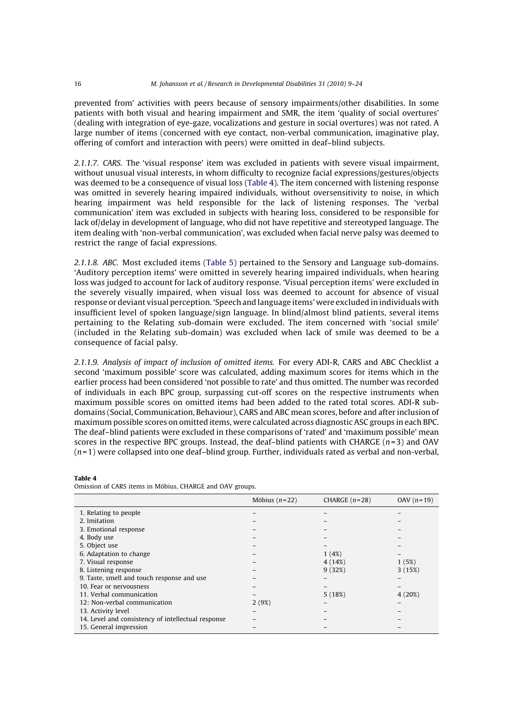prevented from' activities with peers because of sensory impairments/other disabilities. In some patients with both visual and hearing impairment and SMR, the item 'quality of social overtures' (dealing with integration of eye-gaze, vocalizations and gesture in social overtures) was not rated. A large number of items (concerned with eye contact, non-verbal communication, imaginative play, offering of comfort and interaction with peers) were omitted in deaf–blind subjects.

2.1.1.7. CARS. The 'visual response' item was excluded in patients with severe visual impairment, without unusual visual interests, in whom difficulty to recognize facial expressions/gestures/objects was deemed to be a consequence of visual loss (Table 4). The item concerned with listening response was omitted in severely hearing impaired individuals, without oversensitivity to noise, in which hearing impairment was held responsible for the lack of listening responses. The 'verbal communication' item was excluded in subjects with hearing loss, considered to be responsible for lack of/delay in development of language, who did not have repetitive and stereotyped language. The item dealing with 'non-verbal communication', was excluded when facial nerve palsy was deemed to restrict the range of facial expressions.

2.1.1.8. ABC. Most excluded items ([Table 5](#page-8-0)) pertained to the Sensory and Language sub-domains. 'Auditory perception items' were omitted in severely hearing impaired individuals, when hearing loss was judged to account for lack of auditory response. 'Visual perception items' were excluded in the severely visually impaired, when visual loss was deemed to account for absence of visual response or deviant visual perception. 'Speech and language items' were excluded in individuals with insufficient level of spoken language/sign language. In blind/almost blind patients, several items pertaining to the Relating sub-domain were excluded. The item concerned with 'social smile' (included in the Relating sub-domain) was excluded when lack of smile was deemed to be a consequence of facial palsy.

2.1.1.9. Analysis of impact of inclusion of omitted items. For every ADI-R, CARS and ABC Checklist a second 'maximum possible' score was calculated, adding maximum scores for items which in the earlier process had been considered 'not possible to rate' and thus omitted. The number was recorded of individuals in each BPC group, surpassing cut-off scores on the respective instruments when maximum possible scores on omitted items had been added to the rated total scores. ADI-R subdomains (Social, Communication, Behaviour), CARS and ABC mean scores, before and after inclusion of maximum possible scores on omitted items, were calculated across diagnostic ASC groups in each BPC. The deaf–blind patients were excluded in these comparisons of 'rated' and 'maximum possible' mean scores in the respective BPC groups. Instead, the deaf-blind patients with CHARGE  $(n=3)$  and OAV  $(n=1)$  were collapsed into one deaf-blind group. Further, individuals rated as verbal and non-verbal,

|                                                    | Möbius $(n=22)$ | CHARGE $(n=28)$ | OAV $(n=19)$ |
|----------------------------------------------------|-----------------|-----------------|--------------|
| 1. Relating to people                              |                 |                 |              |
| 2. Imitation                                       |                 |                 |              |
| 3. Emotional response                              |                 |                 |              |
| 4. Body use                                        |                 |                 |              |
| 5. Object use                                      |                 |                 |              |
| 6. Adaptation to change                            |                 | 1(4%)           |              |
| 7. Visual response                                 |                 | 4(14%)          | 1(5%)        |
| 8. Listening response                              |                 | 9(32%)          | 3(15%)       |
| 9. Taste, smell and touch response and use         |                 |                 |              |
| 10. Fear or nervousness                            |                 |                 |              |
| 11. Verbal communication                           |                 | 5(18%)          | 4(20%)       |
| 12: Non-verbal communication                       | 2(9%)           |                 |              |
| 13. Activity level                                 |                 |                 |              |
| 14. Level and consistency of intellectual response |                 |                 |              |
| 15. General impression                             |                 |                 |              |

#### Table 4

Omission of CARS items in Möbius, CHARGE and OAV groups.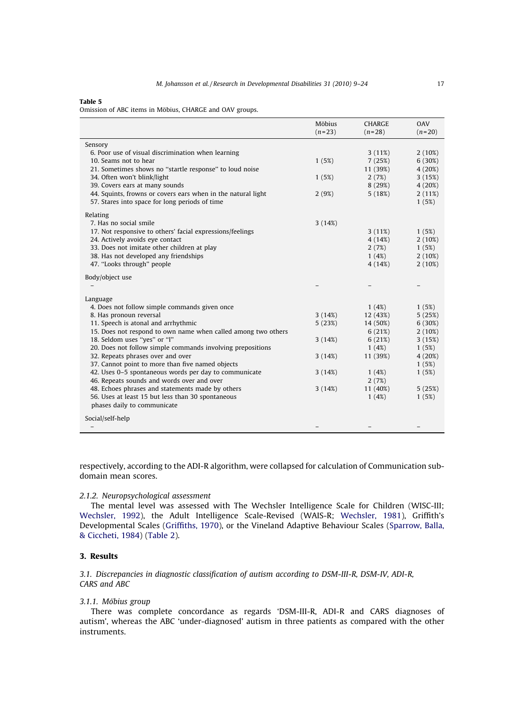#### <span id="page-8-0"></span>Table 5

Omission of ABC items in Möbius, CHARGE and OAV groups.

|                                                               | Möbius<br>$(n=23)$ | <b>CHARGE</b><br>$(n=28)$ | <b>OAV</b><br>$(n=20)$ |
|---------------------------------------------------------------|--------------------|---------------------------|------------------------|
| Sensory                                                       |                    |                           |                        |
| 6. Poor use of visual discrimination when learning            |                    | 3(11%)                    | 2(10%)                 |
| 10. Seams not to hear                                         | 1(5%)              | 7(25%)                    | 6(30%)                 |
| 21. Sometimes shows no "startle response" to loud noise       |                    | 11 (39%)                  | 4(20%)                 |
| 34. Often won't blink/light                                   | 1(5%)              | 2(7%)                     | 3(15%)                 |
| 39. Covers ears at many sounds                                |                    | 8(29%)                    | 4(20%)                 |
| 44. Squints, frowns or covers ears when in the natural light  | 2(9%)              | 5(18%)                    | 2(11%)                 |
| 57. Stares into space for long periods of time                |                    |                           | 1(5%)                  |
| Relating                                                      |                    |                           |                        |
| 7. Has no social smile                                        | 3(14%)             |                           |                        |
| 17. Not responsive to others' facial expressions/feelings     |                    | 3(11%)                    | 1(5%)                  |
| 24. Actively avoids eye contact                               |                    | 4(14%)                    | $2(10\%)$              |
| 33. Does not imitate other children at play                   |                    | 2(7%)                     | 1(5%)                  |
| 38. Has not developed any friendships                         |                    | 1(4%)                     | $2(10\%)$              |
| 47. "Looks through" people                                    |                    | 4 (14%)                   | 2(10%)                 |
| Body/object use                                               |                    |                           |                        |
|                                                               |                    |                           |                        |
| Language                                                      |                    |                           |                        |
| 4. Does not follow simple commands given once                 |                    | 1(4%)                     | 1(5%)                  |
| 8. Has pronoun reversal                                       | 3(14%)             | 12 (43%)                  | 5(25%)                 |
| 11. Speech is atonal and arrhythmic                           | 5(23%)             | 14 (50%)                  | 6(30%)                 |
| 15. Does not respond to own name when called among two others |                    | 6(21%)                    | 2(10%)                 |
| 18. Seldom uses "yes" or "I"                                  | 3(14%)             | 6(21%)                    | 3(15%)                 |
| 20. Does not follow simple commands involving prepositions    |                    | 1(4%)                     | 1(5%)                  |
| 32. Repeats phrases over and over                             | 3(14%)             | 11 (39%)                  | 4(20%)                 |
| 37. Cannot point to more than five named objects              |                    |                           | 1(5%)                  |
| 42. Uses 0-5 spontaneous words per day to communicate         | 3(14%)             | 1(4%)                     | 1(5%)                  |
| 46. Repeats sounds and words over and over                    |                    | 2(7%)                     |                        |
| 48. Echoes phrases and statements made by others              | 3(14%)             | 11 (40%)                  | 5(25%)                 |
| 56. Uses at least 15 but less than 30 spontaneous             |                    | 1(4%)                     | 1(5%)                  |
| phases daily to communicate                                   |                    |                           |                        |
| Social/self-help                                              |                    |                           |                        |
|                                                               |                    |                           |                        |

respectively, according to the ADI-R algorithm, were collapsed for calculation of Communication subdomain mean scores.

# 2.1.2. Neuropsychological assessment

The mental level was assessed with The Wechsler Intelligence Scale for Children (WISC-III; [Wechsler, 1992](#page-15-0)), the Adult Intelligence Scale-Revised (WAIS-R; [Wechsler, 1981](#page-15-0)), Griffith's Developmental Scales ([Griffiths, 1970](#page-14-0)), or the Vineland Adaptive Behaviour Scales ([Sparrow, Balla,](#page-15-0) [& Ciccheti, 1984](#page-15-0)) [\(Table 2\)](#page-5-0).

# 3. Results

3.1. Discrepancies in diagnostic classification of autism according to DSM-III-R, DSM-IV, ADI-R, CARS and ABC

### 3.1.1. Möbius group

There was complete concordance as regards 'DSM-III-R, ADI-R and CARS diagnoses of autism', whereas the ABC 'under-diagnosed' autism in three patients as compared with the other instruments.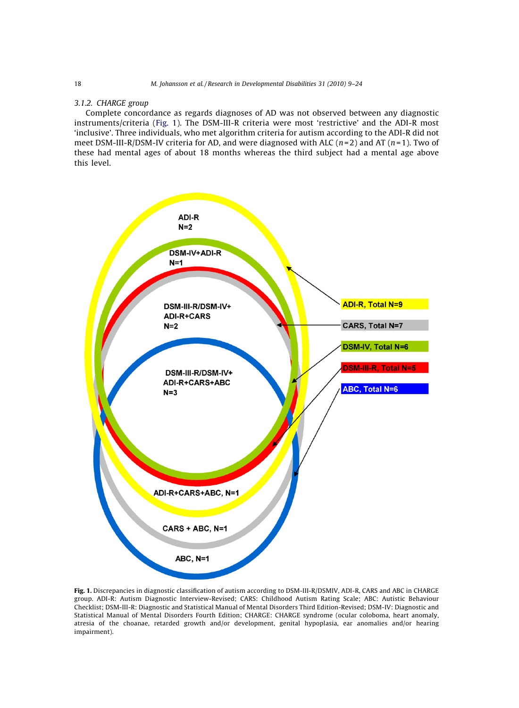# 3.1.2. CHARGE group

Complete concordance as regards diagnoses of AD was not observed between any diagnostic instruments/criteria (Fig. 1). The DSM-III-R criteria were most 'restrictive' and the ADI-R most 'inclusive'. Three individuals, who met algorithm criteria for autism according to the ADI-R did not meet DSM-III-R/DSM-IV criteria for AD, and were diagnosed with ALC ( $n=2$ ) and AT ( $n=1$ ). Two of these had mental ages of about 18 months whereas the third subject had a mental age above this level.



Fig. 1. Discrepancies in diagnostic classification of autism according to DSM-III-R/DSMIV, ADI-R, CARS and ABC in CHARGE group. ADI-R: Autism Diagnostic Interview-Revised; CARS: Childhood Autism Rating Scale; ABC: Autistic Behaviour Checklist; DSM-III-R: Diagnostic and Statistical Manual of Mental Disorders Third Edition-Revised; DSM-IV: Diagnostic and Statistical Manual of Mental Disorders Fourth Edition; CHARGE: CHARGE syndrome (ocular coloboma, heart anomaly, atresia of the choanae, retarded growth and/or development, genital hypoplasia, ear anomalies and/or hearing impairment).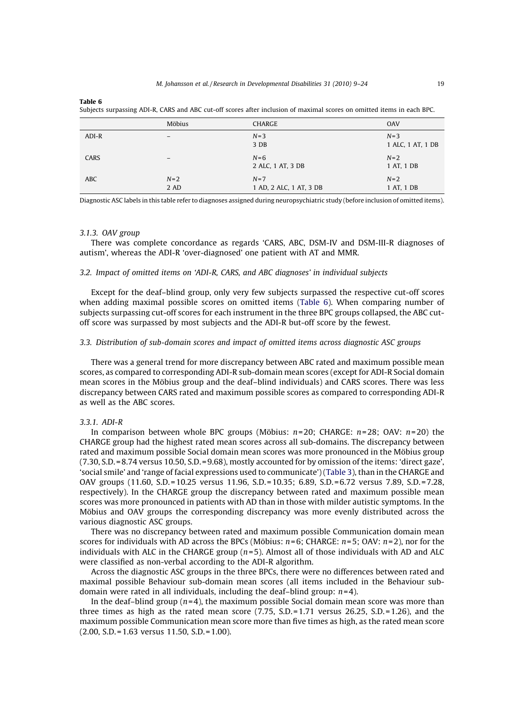Table 6

|            | Möbius          | <b>CHARGE</b>                    | <b>OAV</b>                 |
|------------|-----------------|----------------------------------|----------------------------|
| ADI-R      |                 | $N=3$<br>3 DB                    | $N=3$<br>1 ALC, 1 AT, 1 DB |
| CARS       | $\qquad \qquad$ | $N=6$<br>2 ALC, 1 AT, 3 DB       | $N=2$<br>1 AT, 1 DB        |
| <b>ABC</b> | $N=2$<br>2 AD   | $N=7$<br>1 AD, 2 ALC, 1 AT, 3 DB | $N=2$<br>1 AT, 1 DB        |

Subjects surpassing ADI-R, CARS and ABC cut-off scores after inclusion of maximal scores on omitted items in each BPC.

Diagnostic ASC labels in this table refer to diagnoses assigned during neuropsychiatric study (before inclusion of omitted items).

#### 3.1.3. OAV group

There was complete concordance as regards 'CARS, ABC, DSM-IV and DSM-III-R diagnoses of autism', whereas the ADI-R 'over-diagnosed' one patient with AT and MMR.

#### 3.2. Impact of omitted items on 'ADI-R, CARS, and ABC diagnoses' in individual subjects

Except for the deaf–blind group, only very few subjects surpassed the respective cut-off scores when adding maximal possible scores on omitted items (Table 6). When comparing number of subjects surpassing cut-off scores for each instrument in the three BPC groups collapsed, the ABC cutoff score was surpassed by most subjects and the ADI-R but-off score by the fewest.

#### 3.3. Distribution of sub-domain scores and impact of omitted items across diagnostic ASC groups

There was a general trend for more discrepancy between ABC rated and maximum possible mean scores, as compared to corresponding ADI-R sub-domain mean scores (except for ADI-R Social domain mean scores in the Möbius group and the deaf–blind individuals) and CARS scores. There was less discrepancy between CARS rated and maximum possible scores as compared to corresponding ADI-R as well as the ABC scores.

#### 3.3.1. ADI-R

In comparison between whole BPC groups (Möbius:  $n=20$ ; CHARGE:  $n=28$ ; OAV:  $n=20$ ) the CHARGE group had the highest rated mean scores across all sub-domains. The discrepancy between rated and maximum possible Social domain mean scores was more pronounced in the Möbius group (7.30, S.D. =8.74 versus 10.50, S.D. =9.68), mostly accounted for by omission of the items: 'direct gaze', 'social smile' and 'range of facial expressions used to communicate') [\(Table 3](#page-6-0)), than in the CHARGE and OAV groups (11.60, S.D.= 10.25 versus 11.96, S.D. =10.35; 6.89, S.D. = 6.72 versus 7.89, S.D. =7.28, respectively). In the CHARGE group the discrepancy between rated and maximum possible mean scores was more pronounced in patients with AD than in those with milder autistic symptoms. In the Möbius and OAV groups the corresponding discrepancy was more evenly distributed across the various diagnostic ASC groups.

There was no discrepancy between rated and maximum possible Communication domain mean scores for individuals with AD across the BPCs (Möbius:  $n=6$ ; CHARGE:  $n=5$ ; OAV:  $n=2$ ), nor for the individuals with ALC in the CHARGE group  $(n=5)$ . Almost all of those individuals with AD and ALC were classified as non-verbal according to the ADI-R algorithm.

Across the diagnostic ASC groups in the three BPCs, there were no differences between rated and maximal possible Behaviour sub-domain mean scores (all items included in the Behaviour subdomain were rated in all individuals, including the deaf-blind group:  $n=4$ ).

In the deaf–blind group  $(n=4)$ , the maximum possible Social domain mean score was more than three times as high as the rated mean score  $(7.75, S.D. = 1.71$  versus 26.25,  $S.D. = 1.26$ ), and the maximum possible Communication mean score more than five times as high, as the rated mean score (2.00, S.D. = 1.63 versus 11.50, S.D. = 1.00).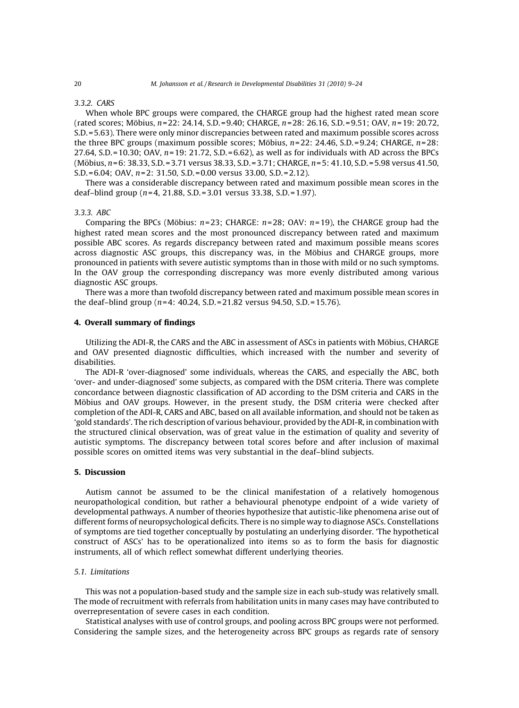# 3.3.2. CARS

When whole BPC groups were compared, the CHARGE group had the highest rated mean score (rated scores; Möbius,  $n=22$ : 24.14, S.D. = 9.40; CHARGE,  $n=28$ : 26.16, S.D. = 9.51; OAV,  $n=19$ : 20.72, S.D. =5.63). There were only minor discrepancies between rated and maximum possible scores across the three BPC groups (maximum possible scores; Möbius,  $n=22$ : 24.46, S.D. = 9.24; CHARGE,  $n=28$ ; 27.64, S.D. = 10.30; OAV,  $n=19$ : 21.72, S.D. = 6.62), as well as for individuals with AD across the BPCs  $(M\ddot{\text{o}}$ bius,  $n=6: 38.33, S.D. = 3.71$  versus 38.33, S.D. = 3.71; CHARGE,  $n=5: 41.10, S.D. = 5.98$  versus 41.50, S.D. =6.04; OAV, n=2: 31.50, S.D. =0.00 versus 33.00, S.D. =2.12).

There was a considerable discrepancy between rated and maximum possible mean scores in the deaf-blind group ( $n=4$ , 21.88, S.D. = 3.01 versus 33.38, S.D. = 1.97).

#### 3.3.3. ABC

Comparing the BPCs (Möbius:  $n=23$ ; CHARGE:  $n=28$ ; OAV:  $n=19$ ), the CHARGE group had the highest rated mean scores and the most pronounced discrepancy between rated and maximum possible ABC scores. As regards discrepancy between rated and maximum possible means scores across diagnostic ASC groups, this discrepancy was, in the Möbius and CHARGE groups, more pronounced in patients with severe autistic symptoms than in those with mild or no such symptoms. In the OAV group the corresponding discrepancy was more evenly distributed among various diagnostic ASC groups.

There was a more than twofold discrepancy between rated and maximum possible mean scores in the deaf-blind group ( $n=4$ : 40.24, S.D. = 21.82 versus 94.50, S.D. = 15.76).

## 4. Overall summary of findings

Utilizing the ADI-R, the CARS and the ABC in assessment of ASCs in patients with Möbius, CHARGE and OAV presented diagnostic difficulties, which increased with the number and severity of disabilities.

The ADI-R 'over-diagnosed' some individuals, whereas the CARS, and especially the ABC, both 'over- and under-diagnosed' some subjects, as compared with the DSM criteria. There was complete concordance between diagnostic classification of AD according to the DSM criteria and CARS in the Möbius and OAV groups. However, in the present study, the DSM criteria were checked after completion of the ADI-R, CARS and ABC, based on all available information, and should not be taken as 'gold standards'. The rich description of various behaviour, provided by the ADI-R, in combination with the structured clinical observation, was of great value in the estimation of quality and severity of autistic symptoms. The discrepancy between total scores before and after inclusion of maximal possible scores on omitted items was very substantial in the deaf–blind subjects.

# 5. Discussion

Autism cannot be assumed to be the clinical manifestation of a relatively homogenous neuropathological condition, but rather a behavioural phenotype endpoint of a wide variety of developmental pathways. A number of theories hypothesize that autistic-like phenomena arise out of different forms of neuropsychological deficits. There is no simple way to diagnose ASCs. Constellations of symptoms are tied together conceptually by postulating an underlying disorder. 'The hypothetical construct of ASCs' has to be operationalized into items so as to form the basis for diagnostic instruments, all of which reflect somewhat different underlying theories.

# 5.1. Limitations

This was not a population-based study and the sample size in each sub-study was relatively small. The mode of recruitment with referrals from habilitation units in many cases may have contributed to overrepresentation of severe cases in each condition.

Statistical analyses with use of control groups, and pooling across BPC groups were not performed. Considering the sample sizes, and the heterogeneity across BPC groups as regards rate of sensory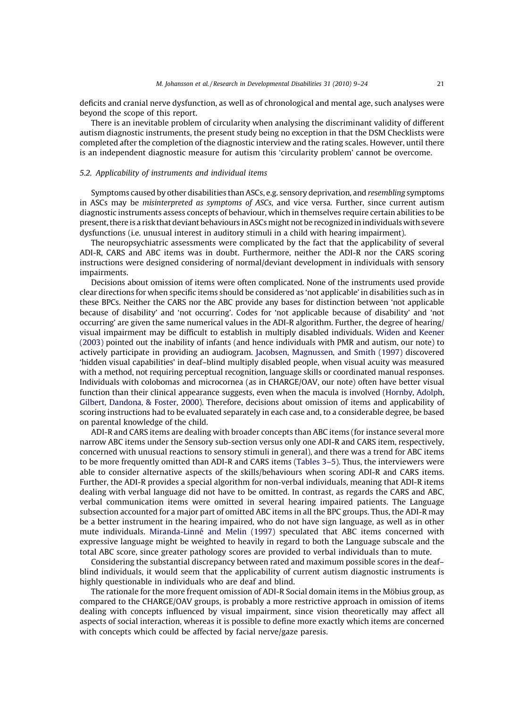deficits and cranial nerve dysfunction, as well as of chronological and mental age, such analyses were beyond the scope of this report.

There is an inevitable problem of circularity when analysing the discriminant validity of different autism diagnostic instruments, the present study being no exception in that the DSM Checklists were completed after the completion of the diagnostic interview and the rating scales. However, until there is an independent diagnostic measure for autism this 'circularity problem' cannot be overcome.

### 5.2. Applicability of instruments and individual items

Symptoms caused by other disabilities than ASCs, e.g. sensory deprivation, and resembling symptoms in ASCs may be *misinterpreted as symptoms of ASCs*, and vice versa. Further, since current autism diagnostic instruments assess concepts of behaviour, which in themselves require certain abilities to be present, there is a risk that deviant behaviours in ASCsmight not be recognized in individuals with severe dysfunctions (i.e. unusual interest in auditory stimuli in a child with hearing impairment).

The neuropsychiatric assessments were complicated by the fact that the applicability of several ADI-R, CARS and ABC items was in doubt. Furthermore, neither the ADI-R nor the CARS scoring instructions were designed considering of normal/deviant development in individuals with sensory impairments.

Decisions about omission of items were often complicated. None of the instruments used provide clear directions for when specific items should be considered as 'not applicable' in disabilities such as in these BPCs. Neither the CARS nor the ABC provide any bases for distinction between 'not applicable because of disability' and 'not occurring'. Codes for 'not applicable because of disability' and 'not occurring' are given the same numerical values in the ADI-R algorithm. Further, the degree of hearing/ visual impairment may be difficult to establish in multiply disabled individuals. [Widen and Keener](#page-15-0) [\(2003\)](#page-15-0) pointed out the inability of infants (and hence individuals with PMR and autism, our note) to actively participate in providing an audiogram. [Jacobsen, Magnussen, and Smith \(1997\)](#page-14-0) discovered 'hidden visual capabilities' in deaf–blind multiply disabled people, when visual acuity was measured with a method, not requiring perceptual recognition, language skills or coordinated manual responses. Individuals with colobomas and microcornea (as in CHARGE/OAV, our note) often have better visual function than their clinical appearance suggests, even when the macula is involved ([Hornby, Adolph,](#page-14-0) [Gilbert, Dandona, & Foster, 2000\)](#page-14-0). Therefore, decisions about omission of items and applicability of scoring instructions had to be evaluated separately in each case and, to a considerable degree, be based on parental knowledge of the child.

ADI-R and CARS items are dealing with broader concepts than ABC items (for instance several more narrow ABC items under the Sensory sub-section versus only one ADI-R and CARS item, respectively, concerned with unusual reactions to sensory stimuli in general), and there was a trend for ABC items to be more frequently omitted than ADI-R and CARS items [\(Tables 3–5](#page-6-0)). Thus, the interviewers were able to consider alternative aspects of the skills/behaviours when scoring ADI-R and CARS items. Further, the ADI-R provides a special algorithm for non-verbal individuals, meaning that ADI-R items dealing with verbal language did not have to be omitted. In contrast, as regards the CARS and ABC, verbal communication items were omitted in several hearing impaired patients. The Language subsection accounted for a major part of omitted ABC items in all the BPC groups. Thus, the ADI-R may be a better instrument in the hearing impaired, who do not have sign language, as well as in other mute individuals. Miranda-Linné [and Melin \(1997\)](#page-15-0) speculated that ABC items concerned with expressive language might be weighted to heavily in regard to both the Language subscale and the total ABC score, since greater pathology scores are provided to verbal individuals than to mute.

Considering the substantial discrepancy between rated and maximum possible scores in the deaf– blind individuals, it would seem that the applicability of current autism diagnostic instruments is highly questionable in individuals who are deaf and blind.

The rationale for the more frequent omission of ADI-R Social domain items in the Möbius group, as compared to the CHARGE/OAV groups, is probably a more restrictive approach in omission of items dealing with concepts influenced by visual impairment, since vision theoretically may affect all aspects of social interaction, whereas it is possible to define more exactly which items are concerned with concepts which could be affected by facial nerve/gaze paresis.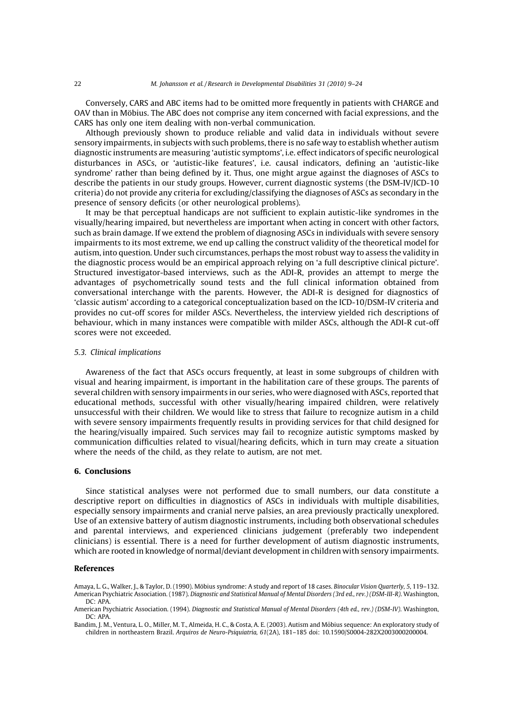<span id="page-13-0"></span>Conversely, CARS and ABC items had to be omitted more frequently in patients with CHARGE and OAV than in Möbius. The ABC does not comprise any item concerned with facial expressions, and the CARS has only one item dealing with non-verbal communication.

Although previously shown to produce reliable and valid data in individuals without severe sensory impairments, in subjects with such problems, there is no safe way to establish whether autism diagnostic instruments are measuring 'autistic symptoms', i.e. effect indicators of specific neurological disturbances in ASCs, or 'autistic-like features', i.e. causal indicators, defining an 'autistic-like syndrome' rather than being defined by it. Thus, one might argue against the diagnoses of ASCs to describe the patients in our study groups. However, current diagnostic systems (the DSM-IV/ICD-10 criteria) do not provide any criteria for excluding/classifying the diagnoses of ASCs as secondary in the presence of sensory deficits (or other neurological problems).

It may be that perceptual handicaps are not sufficient to explain autistic-like syndromes in the visually/hearing impaired, but nevertheless are important when acting in concert with other factors, such as brain damage. If we extend the problem of diagnosing ASCs in individuals with severe sensory impairments to its most extreme, we end up calling the construct validity of the theoretical model for autism, into question. Under such circumstances, perhaps the most robust way to assess the validity in the diagnostic process would be an empirical approach relying on 'a full descriptive clinical picture'. Structured investigator-based interviews, such as the ADI-R, provides an attempt to merge the advantages of psychometrically sound tests and the full clinical information obtained from conversational interchange with the parents. However, the ADI-R is designed for diagnostics of 'classic autism' according to a categorical conceptualization based on the ICD-10/DSM-IV criteria and provides no cut-off scores for milder ASCs. Nevertheless, the interview yielded rich descriptions of behaviour, which in many instances were compatible with milder ASCs, although the ADI-R cut-off scores were not exceeded.

#### 5.3. Clinical implications

Awareness of the fact that ASCs occurs frequently, at least in some subgroups of children with visual and hearing impairment, is important in the habilitation care of these groups. The parents of several children with sensory impairments in our series, who were diagnosed with ASCs, reported that educational methods, successful with other visually/hearing impaired children, were relatively unsuccessful with their children. We would like to stress that failure to recognize autism in a child with severe sensory impairments frequently results in providing services for that child designed for the hearing/visually impaired. Such services may fail to recognize autistic symptoms masked by communication difficulties related to visual/hearing deficits, which in turn may create a situation where the needs of the child, as they relate to autism, are not met.

### 6. Conclusions

Since statistical analyses were not performed due to small numbers, our data constitute a descriptive report on difficulties in diagnostics of ASCs in individuals with multiple disabilities, especially sensory impairments and cranial nerve palsies, an area previously practically unexplored. Use of an extensive battery of autism diagnostic instruments, including both observational schedules and parental interviews, and experienced clinicians judgement (preferably two independent clinicians) is essential. There is a need for further development of autism diagnostic instruments, which are rooted in knowledge of normal/deviant development in children with sensory impairments.

#### References

Amaya, L. G., Walker, J., & Taylor, D. (1990). Möbius syndrome: A study and report of 18 cases. Binocular Vision Quarterly, 5, 119–132. American Psychiatric Association. (1987). Diagnostic and Statistical Manual of Mental Disorders (3rd ed., rev.) (DSM-III-R). Washington, DC: APA.

American Psychiatric Association. (1994). Diagnostic and Statistical Manual of Mental Disorders (4th ed., rev.) (DSM-IV). Washington, DC: APA.

Bandim, J. M., Ventura, L. O., Miller, M. T., Almeida, H. C., & Costa, A. E. (2003). Autism and Möbius sequence: An exploratory study of children in northeastern Brazil. Arquiros de Neuro-Psiquiatria, 61(2A), 181–185 doi: 10.1590/S0004-282X2003000200004.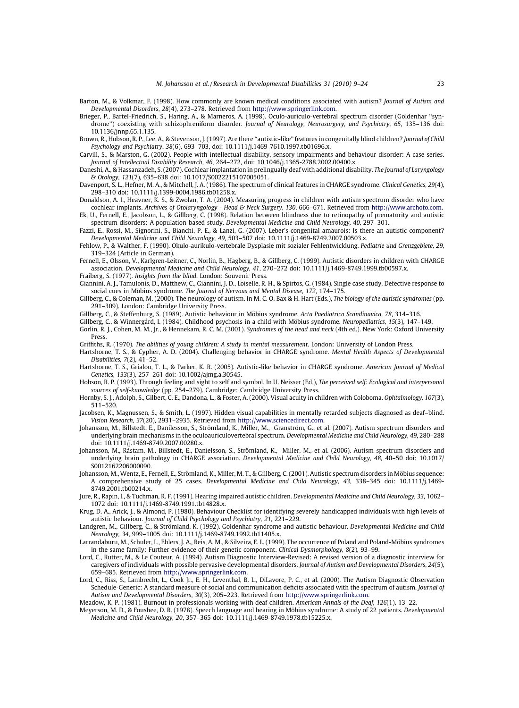- <span id="page-14-0"></span>Barton, M., & Volkmar, F. (1998). How commonly are known medical conditions associated with autism? Journal of Autism and Developmental Disorders, 28(4), 273–278. Retrieved from [http://www.springerlink.com.](http://www.springerlink.com/)
- Brieger, P., Bartel-Friedrich, S., Haring, A., & Marneros, A. (1998). Oculo-auriculo-vertebral spectrum disorder (Goldenhar ''syndrome'') coexisting with schizophreniform disorder. Journal of Neurology, Neurosurgery, and Psychiatry, 65, 135–136 doi: 10.1136/jnnp.65.1.135.
- Brown, R., Hobson, R. P., Lee, A., & Stevenson, J. (1997). Are there ''autistic-like'' features in congenitally blind children? Journal of Child Psychology and Psychiatry, 38(6), 693–703, doi: 10.1111/j.1469-7610.1997.tb01696.x.
- Carvill, S., & Marston, G. (2002). People with intellectual disability, sensory impairments and behaviour disorder: A case series. Journal of Intellectual Disability Research, 46, 264–272, doi: 10.1046/j.1365-2788.2002.00400.x.
- Daneshi, A., & Hassanzadeh, S. (2007). Cochlear implantation in prelingually deaf with additional disability. The Journal of Laryngology & Otology, 121(7), 635–638 doi: 10.1017/S0022215107005051.
- Davenport, S. L., Hefner, M. A., & Mitchell, J. A. (1986). The spectrum of clinical features in CHARGE syndrome. Clinical Genetics, 29(4), 298–310 doi: 10.1111/j.1399-0004.1986.tb01258.x.
- Donaldson, A. I., Heavner, K. S., & Zwolan, T. A. (2004). Measuring progress in children with autism spectrum disorder who have cochlear implants. Archives of Otolaryngology - Head & Neck Surgery, 130, 666-671. Retrieved from [http://www.archoto.com.](http://www.archoto.com/)
- Ek, U., Fernell, E., Jacobson, L., & Gillberg, C. (1998). Relation between blindness due to retinopathy of prematurity and autistic spectrum disorders: A population-based study. Developmental Medicine and Child Neurology, 40, 297–301.
- Fazzi, E., Rossi, M., Signorini, S., Bianchi, P. E., & Lanzi, G. (2007). Leber's congenital amaurois: Is there an autistic component? Developmental Medicine and Child Neurology, 49, 503–507 doi: 10.1111/j.1469-8749.2007.00503.x.
- Fehlow, P., & Walther, F. (1990). Okulo-aurikulo-vertebrale Dysplasie mit sozialer Fehlentwicklung. Pediatrie und Grenzgebiete, 29, 319–324 (Article in German).
- Fernell, E., Olsson, V., Karlgren-Leitner, C., Norlin, B., Hagberg, B., & Gillberg, C. (1999). Autistic disorders in children with CHARGE association. Developmental Medicine and Child Neurology, 41, 270–272 doi: 10.1111/j.1469-8749.1999.tb00597.x.

Fraiberg, S. (1977). Insights from the blind. London: Souvenir Press.

- Giannini, A. J., Tamulonis, D., Matthew, C., Giannini, J. D., Loiselle, R. H., & Spirtos, G. (1984). Single case study. Defective response to social cues in Möbius syndrome. The Journal of Nervous and Mental Disease, 172, 174-175.
- Gillberg, C., & Coleman, M. (2000). The neurology of autism. In M. C. O. Bax & H. Hart (Eds.), The biology of the autistic syndromes (pp. 291–309). London: Cambridge University Press.
- Gillberg, C., & Steffenburg, S. (1989). Autistic behaviour in Möbius syndrome. Acta Paediatrica Scandinavica, 78, 314–316.
- Gillberg, C., & Winnergård, I. (1984). Childhood psychosis in a child with Möbius syndrome. Neuropediatrics, 15(3), 147-149.
- Gorlin, R. J., Cohen, M. M., Jr., & Hennekam, R. C. M. (2001). Syndromes of the head and neck (4th ed.). New York: Oxford University Press.
- Griffiths, R. (1970). The abilities of young children: A study in mental measurement. London: University of London Press.
- Hartshorne, T. S., & Cypher, A. D. (2004). Challenging behavior in CHARGE syndrome. Mental Health Aspects of Developmental Disabilities, 7(2), 41–52.
- Hartshorne, T. S., Grialou, T. L., & Parker, K. R. (2005). Autistic-like behavior in CHARGE syndrome. American Journal of Medical Genetics, 133(3), 257–261 doi: 10.1002/ajmg.a.30545.
- Hobson, R. P. (1993). Through feeling and sight to self and symbol. In U. Neisser (Ed.), The perceived self: Ecological and interpersonal sources of self-knowledge (pp. 254–279). Cambridge: Cambridge University Press.
- Hornby, S. J., Adolph, S., Gilbert, C. E., Dandona, L., & Foster, A. (2000). Visual acuity in children with Coloboma. Ophtalmology, 107(3), 511–520.
- Jacobsen, K., Magnussen, S., & Smith, L. (1997). Hidden visual capabilities in mentally retarded subjects diagnosed as deaf–blind. Vision Research, 37(20), 2931–2935. Retrieved from [http://www.sciencedirect.com](http://www.sciencedirect.com/).
- Johansson, M., Billstedt, E., Danilesson, S., Strömland, K., Miller, M., Granström, G., et al. (2007). Autism spectrum disorders and underlying brain mechanisms in the oculoauriculovertebral spectrum. Developmental Medicine and Child Neurology, 49, 280–288 doi: 10.1111/j.1469-8749.2007.00280.x.
- Johansson, M., Råstam, M., Billstedt, E., Danielsson, S., Strömland, K., Miller, M., et al. (2006). Autism spectrum disorders and underlying brain pathology in CHARGE association. Developmental Medicine and Child Neurology, 48, 40–50 doi: 10.1017/ S0012162206000090.
- Johansson, M., Wentz, E., Fernell, E., Strömland, K., Miller, M. T., & Gillberg, C. (2001). Autistic spectrum disorders in Möbius sequence: A comprehensive study of 25 cases. Developmental Medicine and Child Neurology, 43, 338–345 doi: 10.1111/j.1469- 8749.2001.tb00214.x.
- Jure, R., Rapin, I., & Tuchman, R. F. (1991). Hearing impaired autistic children. Developmental Medicine and Child Neurology, 33, 1062– 1072 doi: 10.1111/j.1469-8749.1991.tb14828.x.
- Krug, D. A., Arick, J., & Almond, P. (1980). Behaviour Checklist for identifying severely handicapped individuals with high levels of autistic behaviour. Journal of Child Psychology and Psychiatry, 21, 221–229.
- Landgren, M., Gillberg, C., & Strömland, K. (1992). Goldenhar syndrome and autistic behaviour. Developmental Medicine and Child Neurology, 34, 999–1005 doi: 10.1111/j.1469-8749.1992.tb11405.x.
- Larrandaburu, M., Schuler, L., Ehlers, J. A., Reis, A. M., & Silveira, E. L. (1999). The occurrence of Poland and Poland-Möbius syndromes in the same family: Further evidence of their genetic component. Clinical Dysmorphology, 8(2), 93–99.
- Lord, C., Rutter, M., & Le Couteur, A. (1994). Autism Diagnostic Interview-Revised: A revised version of a diagnostic interview for caregivers of individuals with possible pervasive developmental disorders. Journal of Autism and Developmental Disorders, 24(5), 659–685. Retrieved from [http://www.springerlink.com.](http://www.springerlink.com/)
- Lord, C., Riss, S., Lambrecht, L., Cook Jr., E. H., Leventhal, B. L., DiLavore, P. C., et al. (2000). The Autism Diagnostic Observation Schedule-Generic: A standard measure of social and communication deficits associated with the spectrum of autism. Journal of Autism and Developmental Disorders, 30(3), 205–223. Retrieved from [http://www.springerlink.com](http://www.springerlink.com/).
- Meadow, K. P. (1981). Burnout in professionals working with deaf children. American Annals of the Deaf, 126(1), 13–22.
- Meyerson, M. D., & Foushee, D. R. (1978). Speech language and hearing in Möbius syndrome: A study of 22 patients. Developmental Medicine and Child Neurology, 20, 357–365 doi: 10.1111/j.1469-8749.1978.tb15225.x.